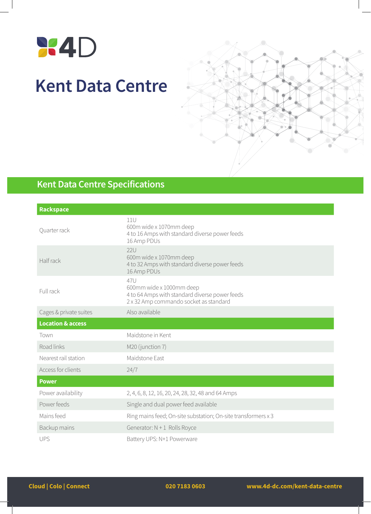

## **Kent Data Centre**



## **Kent Data Centre Specifications**

| <b>Rackspace</b>             |                                                                                                                             |  |
|------------------------------|-----------------------------------------------------------------------------------------------------------------------------|--|
| Quarter rack                 | 11U<br>600m wide x 1070mm deep<br>4 to 16 Amps with standard diverse power feeds<br>16 Amp PDUs                             |  |
| Half rack                    | <b>22U</b><br>600m wide x 1070mm deep<br>4 to 32 Amps with standard diverse power feeds<br>16 Amp PDUs                      |  |
| Full rack                    | 47U<br>600mm wide x 1000mm deep<br>4 to 64 Amps with standard diverse power feeds<br>2 x 32 Amp commando socket as standard |  |
| Cages & private suites       | Also available                                                                                                              |  |
| <b>Location &amp; access</b> |                                                                                                                             |  |
| Town                         | Maidstone in Kent                                                                                                           |  |
| Road links                   | M20 (junction 7)                                                                                                            |  |
| Nearest rail station         | Maidstone East                                                                                                              |  |
| Access for clients           | 24/7                                                                                                                        |  |
| <b>Power</b>                 |                                                                                                                             |  |
| Power availability           | 2, 4, 6, 8, 12, 16, 20, 24, 28, 32, 48 and 64 Amps                                                                          |  |
| Power feeds                  | Single and dual power feed available                                                                                        |  |
| Mains feed                   | Ring mains feed; On-site substation; On-site transformers x 3                                                               |  |
| Backup mains                 | Generator: $N + 1$ Rolls Royce                                                                                              |  |
| <b>UPS</b>                   | Battery UPS: N+1 Powerware                                                                                                  |  |